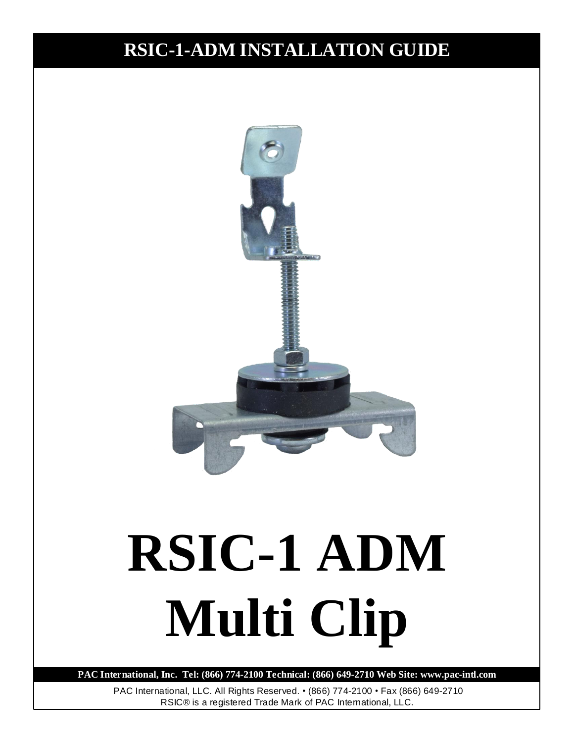# **RSIC-1-ADM INSTALLATION GUIDE**



# **RSIC-1 ADM Multi Clip**

**PAC International, Inc. Tel: (866) 774-2100 Technical: (866) 649-2710 Web Site: www.pac-intl.com**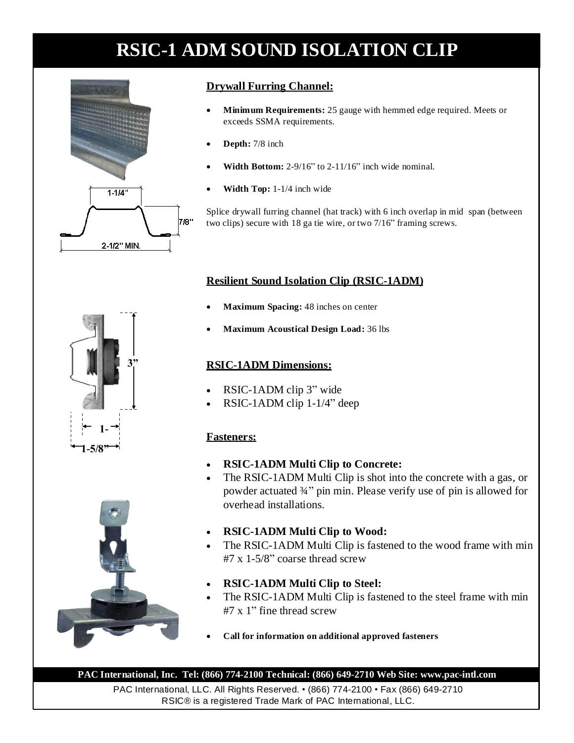

### **Drywall Furring Channel:**

- **Minimum Requirements:** 25 gauge with hemmed edge required. Meets or exceeds SSMA requirements.
- **Depth:** 7/8 inch
- **Width Bottom:** 2-9/16" to 2-11/16" inch wide nominal.
- **Width Top:** 1-1/4 inch wide

Splice drywall furring channel (hat track) with 6 inch overlap in mid span (between two clips) secure with 18 ga tie wire, or two 7/16" framing screws.

### **Resilient Sound Isolation Clip (RSIC-1ADM)**

- **Maximum Spacing:** 48 inches on center
- **Maximum Acoustical Design Load:** 36 lbs

#### **RSIC-1ADM Dimensions:**

- RSIC-1ADM clip 3" wide
- RSIC-1ADM clip 1-1/4" deep

### **Fasteners:**

- **RSIC-1ADM Multi Clip to Concrete:**
- The RSIC-1ADM Multi Clip is shot into the concrete with a gas, or powder actuated ¾" pin min. Please verify use of pin is allowed for overhead installations.
- **RSIC-1ADM Multi Clip to Wood:**
- The RSIC-1ADM Multi Clip is fastened to the wood frame with min  $#7 \times 1 - 5/8"$  coarse thread screw
- **RSIC-1ADM Multi Clip to Steel:**
- The RSIC-1ADM Multi Clip is fastened to the steel frame with min #7 x 1" fine thread screw
- **Call for information on additional approved fasteners**

**PAC International, Inc. Tel: (866) 774-2100 Technical: (866) 649-2710 Web Site: www.pac-intl.com**



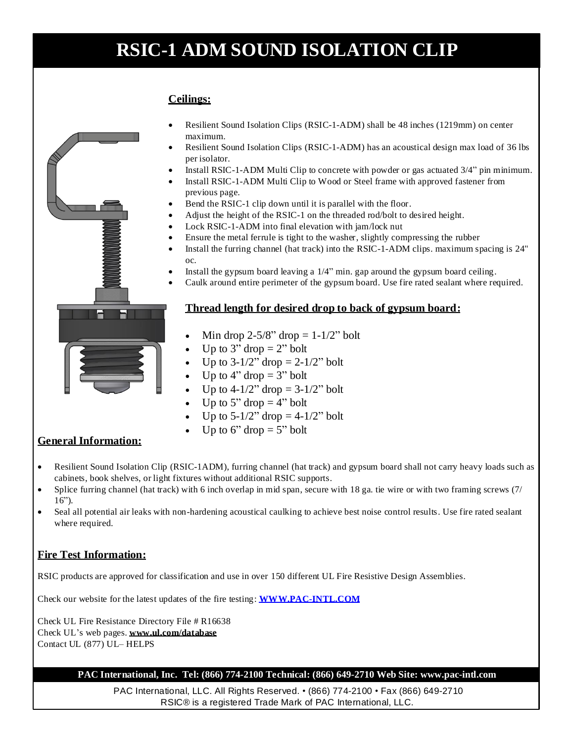### **Ceilings:**



- Resilient Sound Isolation Clips (RSIC-1-ADM) shall be 48 inches (1219mm) on center maximum.
- Resilient Sound Isolation Clips (RSIC-1-ADM) has an acoustical design max load of 36 lbs per isolator.
- Install RSIC-1-ADM Multi Clip to concrete with powder or gas actuated 3/4" pin minimum.
- Install RSIC-1-ADM Multi Clip to Wood or Steel frame with approved fastener from previous page.
- Bend the RSIC-1 clip down until it is parallel with the floor.
- Adjust the height of the RSIC-1 on the threaded rod/bolt to desired height.
- Lock RSIC-1-ADM into final elevation with jam/lock nut
- Ensure the metal ferrule is tight to the washer, slightly compressing the rubber
- Install the furring channel (hat track) into the RSIC-1-ADM clips. maximum spacing is 24" oc.
- Install the gypsum board leaving a 1/4" min. gap around the gypsum board ceiling.
- Caulk around entire perimeter of the gypsum board. Use fire rated sealant where required.

#### **Thread length for desired drop to back of gypsum board:**

- Min drop  $2-5/8$ " drop  $= 1-1/2$ " bolt
- Up to  $3"$  drop  $= 2"$  bolt
- Up to  $3-1/2$ " drop =  $2-1/2$ " bolt
- Up to 4" drop  $= 3"$  bolt
- Up to  $4-1/2$ " drop =  $3-1/2$ " bolt
- Up to 5" drop  $=$  4" bolt
- Up to  $5-1/2$ " drop  $= 4-1/2$ " bolt
- Up to 6" drop  $= 5$ " bolt

### **General Information:**

- Resilient Sound Isolation Clip (RSIC-1ADM), furring channel (hat track) and gypsum board shall not carry heavy loads such as cabinets, book shelves, or light fixtures without additional RSIC supports.
- Splice furring channel (hat track) with 6 inch overlap in mid span, secure with 18 ga. tie wire or with two framing screws (7/ 16").
- Seal all potential air leaks with non-hardening acoustical caulking to achieve best noise control results. Use fire rated sealant where required.

### **Fire Test Information:**

RSIC products are approved for classification and use in over 150 different UL Fire Resistive Design Assemblies.

Check our website for the latest updates of the fire testing: **WWW.PAC-INTL.COM**

Check UL Fire Resistance Directory File # R16638 Check UL's web pages. **www.ul.com/database** Contact UL (877) UL– HELPS

#### **PAC International, Inc. Tel: (866) 774-2100 Technical: (866) 649-2710 Web Site: www.pac-intl.com**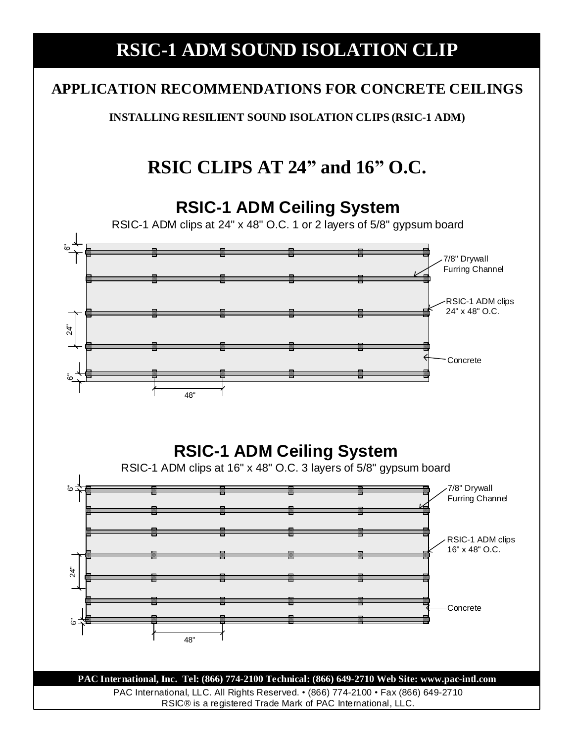### **APPLICATION RECOMMENDATIONS FOR CONCRETE CEILINGS**

**INSTALLING RESILIENT SOUND ISOLATION CLIPS (RSIC-1 ADM)**

# **RSIC CLIPS AT 24" and 16" O.C.**

### **RSIC-1 ADM Ceiling System**

RSIC-1 ADM clips at 24" x 48" O.C. 1 or 2 layers of 5/8" gypsum board



# **RSIC-1 ADM Ceiling System**

RSIC-1 ADM clips at 16" x 48" O.C. 3 layers of 5/8" gypsum board 7/8" Drywall 24" 6" Furring Channel RSIC-1 ADM clips 16" x 48" O.C.  $\overline{5}$ Concrete . 48"

PAC International, LLC. All Rights Reserved. • (866) 774-2100 • Fax (866) 649-2710 RSIC® is a registered Trade Mark of PAC International, LLC. **PAC International, Inc. Tel: (866) 774-2100 Technical: (866) 649-2710 Web Site: www.pac-intl.com**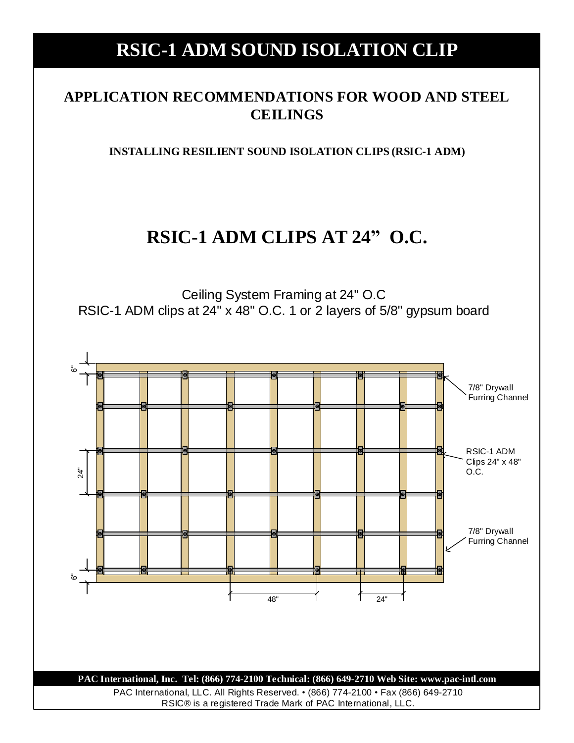### **APPLICATION RECOMMENDATIONS FOR WOOD AND STEEL CEILINGS**

**INSTALLING RESILIENT SOUND ISOLATION CLIPS (RSIC-1 ADM)**

### **RSIC-1 ADM CLIPS AT 24" O.C.**

Ceiling System Framing at 24" O.C RSIC-1 ADM clips at 24" x 48" O.C. 1 or 2 layers of 5/8" gypsum board